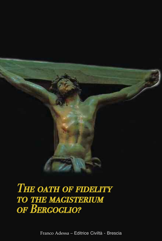

# The oath of fidelity<br>to the magisterium<br>of Bergoglio?

Franco Adessa – Editrice Civiltà - Brescia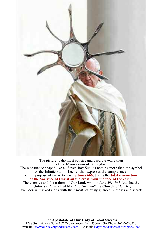

The picture is the most concise and accurate expression<br>of the Magisterium of Bergoglio. The monstrance shaped like a "Seven-Ray Sun" is nothing more than the symbol of the Infinite Sun of Lucifer that expresses the completeness of the purpose of the Antichrist: **7 times 666,** that is the **total elimination of the Sacrifice of Christ on the cross from the face of the earth.** "Universal Church of Man" to "eclipse" the Church of Christ,<br>have been unmasked along with their most jealously guarded purposes and secrets.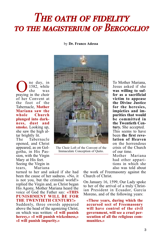## THE OATH OF FIDELITY to the magisterium of Bergoglio?

#### by **Dr. Franco Adessa**

One day, in praying in the choir 1582, while<br>she was was of her Convent at the foot of the Tabernacle, **Mother Mariana saw the whole Church plunged into darkness, dust and smoke.** Looking up, she saw the high altar brightly lit.

The Tabernacle opened, and Christ appeared, as on Golgotha, in His Passion, with the Virgin Mary at His feet. Seeing the Virgin in tears, Mariana

turned to her and asked if she had been the cause of her sadness. «No, it is not you, but the criminal world!» replied the Virgin and, as Christ began His Agony, Mother Mariana heard the voice of God the Father say: **«THIS PUNISHMENT WILL BE FOR THE TWENTIETH CENTURY!»**

Suddenly, three swords appeared above the head of the agonizing Christ, on which was written: **«I will punish heresy,» «I will punish wickedness,» «I will punish impurity.»**



The Choir Loft of the Convent of the Immaculate Conception of Quito.

To Mother Mariana, Jesus asked if she **was willing to suf- fer as <sup>a</sup> sacrificial victim to appease the Divine Justice for the heresies, impieties and impurities that would be committed in the Twentieth Century.** She accepted. This seems to have been **the first revelation of Heaven** on the horrendous crisis of the Church of our time. Mother Mariana

had other apparitions in which she also was told about

the work of Freemasonry against the Church of Christ.

On January 16, 1599, Our Lady spoke to her of the arrival of a truly Christian President in Ecuador, Garcia Moreno, and of the following years:

**«These years, during which the accursed sect of Freemasonry will have control of the civil government, will see <sup>a</sup> cruel per- secution of all the religious com- munities.»**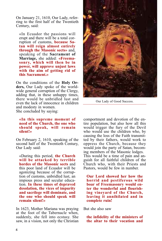On January 21, 1610, Our Lady, refer- ring to the first half of the Twentieth Century, said:

«In Ecuador the passions will erupt and there will be a total corruption of customs, **because Satan will reign almost entirely through the Masonic sects»** and, speaking of the **Sacrament of Marriage,** she added: **«Freemasonry, which will then be in power, will approve unjust laws with the aim of getting rid of this Sacrament.»**

On the conditions of the **Holy Orders,** Our Lady spoke of the worldwide general corruption of the Clergy, adding that, in these unhappy times, there would be unbridled lust and even the lack of innocence in children and modesty in women. She concluded by saying:

**«In this supreme moment of need of the Church, the one who should speak, will remain silent!»**

On February 2, 1610, speaking of the second half of the Twentieth Century, Our Lady said:

«During this period, **the Church will be attacked by terrible hordes of the Masonic sects** and this poor land of Ecuador will be agonizing because of the corruption of customs, unbridled lust, an impious press and secular education. **In these times of depraved desolation, the vices of impurity and sacrilege will dominate, and the one who should speak will remain silent!»**

In 1623, Mother Mariana was praying at the foot of the Tabernacle when, suddenly, she fell into ecstasy. She saw, in a vision, not only the Christian



Our Lady of Good Success.

comportment and devotion of the entire population, but also how all this would trigger the fury of the Devil who would use the children who, by causing the loss of the Faith transmit- ted by their fathers, would work to oppress the Church, because they would join the party of Satan, becom-<br>ing members of the Masonic lodges.<br>This would be a time of pain and an-<br>guish for all faithful children of the Church who, with their Priests and Pastors, would be few in number.

**Our Lord showed her how the horrid and pestiferous wild boar of Freemasonry would enter the wonderful and flourishing vineyard of the Church, leaving it annihilated and in complete ruin!**

But she also saw

**the infidelity of the ministers of the altar to their vocation and**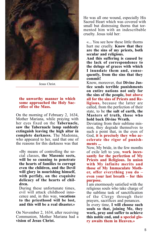

Jesus Christ.

#### **the unworthy manner in which some approached the Holy Sacrifice of the Mass.**

On the morning of February 2, 1634, Mother Mariana, while praying with her eyes fixed on the **Tabernacle, saw the Tabernacle lamp suddenly extinguish leaving the high altar in complete darkness.** The Madonna, who appeared to her, said that one of the reasons for this darkness was that

«By means of controlling the social classes, **the Masonic sects, will be so cunning to penetrate the hearts of families to corrupt even the children, and the Devil will glory in nourishing himself, with perfidy, on the exquisite delicacy of the hearts of chil- dren.**

During these unfortunate times, evil will attack childhood inno- cence and, in this way, **vocations to the priesthood will be lost, and this will be a real disaster.»**

On November 2, 1634, after receiving Communion, Mother Mariana had a **vision of Jesus Christ.**

He was all one wound, especially His Sacred Heart which was covered with small but distressing thorns that tormented him with an indescribable cruelty. Jesus told her:

«... You see how these little thorns hurt me cruelly. **Know that they are the sins of my priests, both secular and religious.**

**And this suffering is caused by the lack of correspondence to the deluge of graces with which I inundate them and, consequently, from the sins that they commit!**

Know, moreover, that **Divine Justice sends terrible punishments on entire nations not only for the sins of the people, but above all for the sins of Priests and Religious,** because the latter are called, from the perfection of their state, to be **the salt of earth, the Masters of truth, those who hold back Divine Wrath.**

Deviating from their sublime mission, they degrade themselves to such a point that, in the eyes of God, **it is precisely they who accelerate the rigor of punishments ...**

Now, My bride, in the few months of exile left to you, **work incessantly for the perfection of My Priests and Religious. In union with My infinite merits and those of My Immaculate Mother, offer everything you do – even your last breath – for this purpose.**

I am enormously satisfied with the religious souls who take charge of the sublime task of sanctification of the Clergy through their prayers, sacrifices and penances.

In every time, **I will choose such souls so that, joining Me, they work, pray and suffer to achieve this noble end, and a special glory awaits them in Heaven.»**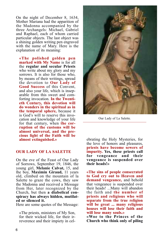On the night of December 8, 1634, Mother Mariana had the apparition of the Madonna accompanied by the three Archangels: Michael, Gabriel and Raphael, each of whom carried particular objects. The last object was a shining golden writing pen engraved with the name of Mary. Here is the explanation of its meaning:

**«The polished golden pen marked with My Name** is for all the **regular and secular Priests** who write about my glory and my sorrows. It is also for those who, by means of their writings, spread the devotion to **Our Lady of Good Success** of this Convent, and also your life, which is inseparable from this sweet and comforting invocation. **In the Twentieth Century, this devotion will do wonders in the spiritual as in the temporal sphere,** because it is God's will to reserve this invocation and knowledge of your life for that century, when **the corruption of the customs will be almost universal, and the precious light of the Faith will be almost extinguished.»**

#### **OUR LADY OF LA SALETTE**

On the eve of the Feast of Our Lady of Sorrows, September 19, 1846, the young girl, **Melanie Calvat,** 15, and the boy, **Maximin Giraud,** 11 years old, climbed on the mountain of la Salette to graze the cows, they saw the Madonna and received a Message from Her, later recognized by the Church, but then **<sup>a</sup> diabolical con- spiracy has always hidden, mutilat- ed or silenced it.**

Here are some quotes of the Message:

«The priests, ministers of My Son, for their wicked life, for their irreverence and their impiety in cel-



Our Lady of La Salette.

ebrating the Holy Mysteries, for the love of honors and pleasures, **priests have become sewers of impurity. Yes, these priests call for vengeance and their vengeance is suspended over their heads!»**

**«The sins of people consecrated to God cry out to Heaven and demand vengeance,** and behold that vengeance is suspended over their heads! ...Many will abandon the faith and **the number of priests and religious who will separate from the true religion will be great ... many religious houses will lose their faith and will lose many souls.»**

**«Woe to the Princes of the Church who think only of piling**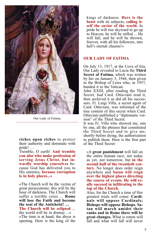

Our Lady of Fatima.

**riches upon riches** to protect their authority and dominate with pride! ...

pride! … Tremble, <sup>O</sup> earth! **And tremble you also who make profession of serving Jesus Christ, but in- wardly worship yourselves** be- cause God has delivered you to His enemies, **because corruption is in holy places...»**

«The Church will be the victim of great persecutions: this will be the hour of darkness. The Church will suffer a terrible crisis ... **Rome will lose the Faith and become the seat of the Antichrist! …**

**The Church will be eclipsed** ... the world will be in dismay ...» «The time is at hand; the abyss is opening. Here is the king of the kings of darkness. **Here is the beast** with its subjects, **calling itself the savior of the world.** In pride he will rise skyward to go up to Heaven; he will be stifled ... He will fall, and he will be thrown. forever, with all his followers, into hell's eternal chasms!»

#### **OUR LADY OF FATIMA**

On July 13, 1917, at the Cova of Iria, Our Lady revealed to Lucia the **Third Secret of Fatima,** which was written by her on January 3, 1944, then given to the Bishop of Leira who, in 1957, handed it to the Vatican.

John XXIII, after reading the Third Secret, had Card. Ottaviani read it, then archived it as did all his successors. Fr. Luigi Villa, a secret agent of Card. Ottaviani, was informed of the true content of this secret when Card. Ottaviani published a "diplomatic version" of the Third Secret.

It was Fr. Villa who showed me, one by one, all the phrases that constituted the Third Secret and to give me, shortly before dying, the authorization to publish them. Here is the first part of the Third Secret:

«A **great punishment** will fall on the entire human race; not today as yet, not tomorrow, but **in the second half of the twentieth century.** No longer does order reign anywhere and **Satan will reign over the highest places directing the course of events. He will really succeed in infiltrating to the top of the Church.**

Also, for the Church a time of Her<br>greatest trials will come: **Cardinals** will oppose Cardinals; **Bishops will oppose Bishops. Sa- tan will march amidst their ranks and in Rome there will be great changes.** What is rotten will fall and what will fall will never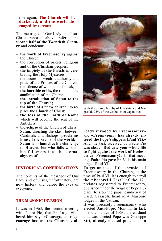#### rise again. **The Church will be darkened, and the world deranged by terror.»**

The messages of Our Lady and Jesus Christ, reported above, refer to the **second half of the Twentieth Century** and condemn:

- **the work of Freemasonry** against the Church;
- the corruption of priests, religious and of the Christian peoples;
- **the impiety of the Priests** in celebrating the Holy Mysteries;
- the desire for **wealth,** authority and pride of the Princes of the Church; – the silence of who should speak; – **the horrible crisis,** the ruin and the
- 
- annihilation of the Church; **the introduction of Satan to the**
- **top of the Church;**
- **the birth of a "new church"** to replace the Church of Christ;
- **the loss of the Faith of Rome** which will become the seat of the Antichrist;
- the **eclipse** of the Church of Christ;
- **Satan,** directing the clash between Cardinals and Bishops, **proclaims himself the savior of the world;**
- **Satan who launches his challenge to Heaven,** but who falls with all his followers into the eternal abysses of hell.

#### **HISTORICAL CONFIRMATIONS**

The contents of the messages of Our Lady and of Jesus, unfortunately, are now history and before the eyes of everyone.

#### **THE MASONIC INVASION**

It was in 1963, the second meeting with Padre Pio, that Fr. Luigi Villa heard him say: **«Courage, courage, courage because the Church is al-**



With the atomic bombs of Hiroshima and Nagasaki, 95% of the Catholics of Japan died.

**ready invaded by Freemasonry»** and **«Freemasonry has already entered the Pope's slippers (Paul VI).»** And the task received by Padre Pio was clear: **«Dedicate your whole life to fight against the work of Ecclesiastical Freemasonry!»** In that meeting, Padre Pio gave Fr. Villa his main target: **Paul VI.**

To get an idea of the invasion of Freemasonry in the Church, at the time of Paul VI, it is enough to scroll the **"Pecorelli List"** of the 121 prelates registered to Freemasonry, published under the reign of Pope Lu- ciani, to stop the papal candidacy of Card. Casaroli, head of 4 Masonic lodges in the Vatican. It was precisely Freemasonry who

elected **Anti-Pope,** Montini. In fact, in the conclave of 1963, the cardinal that was elected Pope was Giuseppe Siri, already elected pope also in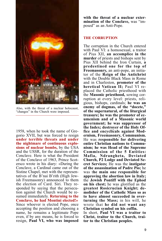

Also, with the threat of a nuclear holocaust, "changes" in the Church were imposed.

1958, when he took the name of Gregorio XVII, but was forced to resign **under terrible threats and under the nightmare of continuous explosions of nuclear bombs,** by the USA and the USSR, for the duration of the Conclave. Here is what the President of the Conclave of 1963, Prince Scotersco wrote in his diary: «During the Conclave, a Cardinal came out of the Sistine Chapel, met with the representatives of the B'nai B'rith (High Jewish Freemasonry) announced to them the election of Card. Siri. They responded by saying that the persecution against the Church would be resumed immediately. **Returning to the Conclave, he had Montini elected!»** Since whoever is elected Pope, once accepting the position and choosing a name, he remains a legitimate Pope even, if by any means, he is forced to resign, **Paul VI, who was imposed**

**with the threat of <sup>a</sup> nuclear exter- mination of the Conclave,** was "im- posed" as an Anti-Pope.

#### **THE CORRUPTION**

The corruption in the Church entered with Paul VI: a homosexual, a traitor of Pius XII, **an accomplice in the murder** of priests and bishops sent by Pius XII behind the Iron Curtain, **a predestined one for the top of Freemasonry,** an anti-pope, an initia- tor of the **Reign of the Antichrist** with the Double Black Mass in Rome and in Charleston, **promoter of the heretical Vatican II;** Paul VI re- placed the Catholic priesthood with the **Masonic priesthood,** sowing cor- ruption at every level: priests, reli- gious, bishops, cardinals; **he was an enemy of dogmas, of the "docete," of the supernatural, of the liturgical treasure; he was the promoter of ecumenism and of a Masonic world government; he was suppressor of the Index; destroyer of the Holy Office and encyclicals against Modernism, Freemasonry, Communism.** He was **responsible for delivering entire Christian nations to Communism; he was Head of the Supreme Commission of the 5 Entities: Mafia, Ndrangheta, Deviated Church, P2 Lodge and Deviated Secret Services;** He was the **instigator of the assassination of Padre Pio;** he was t**he main one responsible for approving the abortion law in Italy;** the **Jewish Pontiff with the Ephod on his chest;** he was glorified as the **greatest Rosicrucian Knight; demolisher of the Catholic Mass so as to have almost succeeded in overturning the Mass;** in his will, he wrote that **he did not want any Christian symbol on his coffin.**

In short, **Paul VI was a traitor to Christ, traitor to the Church, traitor to the Christian peoples.**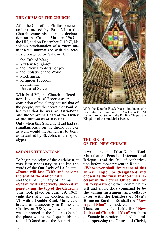#### **THE CRISIS OF THE CHURCH**

After the Cult of the Phallus practiced and promoted by Paul VI in the Church, came his delirious declaration on the **Cult of Man,** in 1965 at the UN, and on December 7, 1967, his solemn proclamation of a **"new humanism"** summarized with the heresies propagated by Vatican II:

- 
- 
- the Cult of Man;<br>
a "New Religion;"<br>
the "New Prophets" of joy;<br>
the Idolatry of the World;<br>
Modernism;<br>
Religious Freedom;<br>
Ecumenism;<br>
Universal Salvation.
- 
- 
- 
- 
- 

With Paul VI, the Church suffered a new invasion of Freemasonry; the corruption of the clergy caused that of the people, but the secret that Paul VI hid was that he was an **Anti-Pope and the Supreme Head of the Order of the Illuminati of Bavaria.**

Only when this Supreme Head had sat simultaneously on the throne of Peter as well, would the Antichrist be born, as described by St. John, in the Apocalypse.

#### **SATAN IN THE VATICAN**

To begin the reign of the Antichrist, it was first necessary to realize the words of the Our Lady of La Salette:

**«Rome will lose Faith and become the seat of the Antichrist,»**

and those of Our Lady of Fatima: **«Satan will effectively succeed in penetrating the top of the Church.»** This took place on June 29, 1963, eight days after the election of Paul VI, with a Double Black Mass, celebrated simultaneously in Rome and Charleston (USA) with which Satan was enthroned in the Pauline Chapel, the place where the Pope holds the role of "Guardian of the Eucharist."



With the Double Black Mass simultaneously celebrated in Rome and in Charleston (USA) that enthroned Satan in the Pauline Chapel, the Kingdom of the Antichrist began.

#### **THE BIRTH OF THE "NEW CHURCH"**

It was at the end of that Double Black Mass that the **Prussian International Delegate** read the Bill of Authorization before those present in Rome:

**«Whosoever shall, by means of this Inner Chapel, be designated and chosen as the final In-the-Line suc- cessor in the Petrine Office, shall by his very oath** of office commit himself and all he does command **to be the willing instrument and collaborator with the Builders of Man's Home on Earth** ... So shall the **"New Age of Man"** be modeled.»

Thus, on June 29, 1963, the **"New Universal Church of Man"** was born of Satanic inspiration that had the task of **suppressing the Church of Christ,**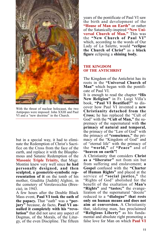

With the threat of nuclear holocaust, the two Antipopes were imposed: John XXIII and Paul VI and a "new doctrine" in the Church.

but in a special way, it had to eliminate the Redemption of Christ's Sacrifice on the Cross from the face of the earth, and replace it with the Blasphemous and Satanic Redemption of the **Masonic Triple Trinity,** that Msgr. Montini knew very well since **he had personally designed, and then sculpted, <sup>a</sup> geometric-symbolic rep- resentation of it** on the tomb of his mother, Giuditta [Judith] Alghisi, in the cemetery of Verolavecchia (Bres-<br>cia), in 1943.<br>A few hours after the Double Black

Mass event, **Paul VI took the oath of the papacy.** That "oath" was <sup>a</sup> **"per- jury"** because, de facto, **Paul VI an- nulled it completely with his "revolution"** that did not save any aspect of Dogmas, of the Morals, of the Liturgy, of the even Discipline. The fifteen years of the pontificate of Paul VI saw the birth and development of the **"House of Man on Earth"** or rather of the Satanically-inspired **"New Universal Church of Man."** This was the **"New Church of Paul VI"** which, according to the words of Our Lady of La Salette, would **"eclipse the Church of Christ"** as a **black figure** eclipsing a **shining body.**

#### **THE KINGDOM OF THE ANTICHRIST**

The Kingdom of the Antichrist has its roots in the **"Universal Church of Man"** which began with the pontificate of Paul VI.

It is enough to read the chapter **"His New Religion"** in Fr. Luigi Villa's book, **"Paul VI Beatified?"** to discover how Paul VI invented a **new Christianity detached from the Cross;** he has replaced the "Cult of God" with the **"Cult of Man,"** the supremacy of the supernatural with **the primacy of natural and temporal,** the primacy of the "Law of God" with the primacy of **"conscience,"** the primacy of the "Kingdom of God" and of "eternal life" with the primacy of the **"world,"** of **"Peace"** and of **"heaven on earth"!**

A Christianity that considers **Christ as a "liberator"** not from sin but from suffering and enslavement; **a Gospel** confused with the **"Charter of Human Rights"** and placed at the "Rights of God" abolished for the benefit of the exaltation of **Man's "Rights"** and **"tastes;"** the evange- lization of the supernatural "docete" reduced to <sup>a</sup> **"dialogue" that rests only on human means and does not aim at conversion.** A Christianity that, idolizing man, has proclaimed **"Religious Liberty"** as his funda- mental and absolute right promoting <sup>a</sup> false love for Man on which **Paul VI**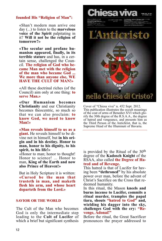#### **founded His "Religion of Man":**

«Shan't modern man arrive one day (...) to listen to the **marvelous voice of the Spirit** palpitating in it? **Will it not be the religion of tomorrow?»**

**«The secular and profane hu- manism appeared, finally, in its** tain sense, challenged the Council. The religion of God who became Man met with the religion **of the man who became God ... We more than anyone else, WE HAVE THE CULT OF MAN!»**

«All these doctrinal riches (of the Council) aim only at one thing: **to serve Man.»**

**«Our Humanism becomes Christianity** and our Christianity becomes theocentric, so much so that we can also proclaim: **to know God, we need to know Man!»**

**«Man reveals himself to us as a giant.** He reveals himself to be divine not in himself, but **in his origin and in his destiny. Honor to man, honor to his dignity, to his spirit, to his life!»**

«Honor to man; honor to thought! Honor to science! ... Honor to man, **King of the Earth and now also Prince of Heaven!»**

But in Holy Scripture it is written: **«Cursed be the man that trusteth in man, and maketh flesh his arm, and whose heart departeth from the Lord.»**

#### **SAVIOR OR THE WORLD**

The Cult of the Man who becomes God is only the intermediate step leading to the **Cult of Lucifer** of which a brief but significant synthesis



Cover of "Chiesa viva" n. 452 Sept. 2012. This publication illustrates the occult meanings of the coat of arms of Benedict XVI which glorify the 30th degree of the R.S.A.A., the degree of hatred and vengeance, and presents him as the Third Person of the Antichrist, that is, the Supreme Head of the Illuminati of Bavaria.

is provided by the Ritual of the 30th degree of the **Kadosch Knight** of the RSAA, also called **the Degree of Hatred and of Revenge.**

This hatred is that of Lucifer for having been **"dethroned"** by his absolute power over man, before the advent of Christ's Sacrifice on the Cross that re- deemed humanity. In this ritual, the Mason **kneels and**

**burns incense to Lucifer, commits a ritual murder, tramples the papal tiara, shouts "hatred to God" and, wielding his dagger into the sky, challenges God with the cry: "Re- venge, Adonai!"**

Before the ritual, the Great Sacrificer pronounces the prayer addressed to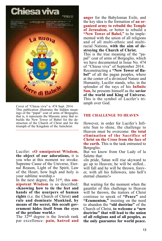

Cover of "Chiesa viva" n. 474 Sept. 2014. This publication illustrates the hidden meanings of the "papal" coat of arms of Bergoglio, that is, it represents the Masonic army that rebuilds the New Tower of Babel for the destruction of the Church of Christ and for the triumph of the Kingdom of the Antichrist.

Lucifer: **«O omnipotent Wisdom, the object of our adorations,** it is you who at this moment we invoke. Supreme Cause of the Universe, Eternal Reason, Light of the Spirit, Law of the Heart, how high and holy is your sublime worship.»

In the next degree, the 31<sup>st</sup>, this **om-**<br>**nipotent Wisdom** is so described: **«Knowing how to tie the feet and hands of the usurpers of human rights** (i.e. the Church of Christ) **and rule and dominate Mankind, by means of the secret, this occult gov- ernment hides itself from the eyes of the profane world.»**

The  $32^{\text{nd}}$  degree is the Jewish rank par excellence: **pain, hatred and**

**anger** for the Babylonian Exile, and the key idea is the formation of **an organized army to rebuild the Temple of Jerusalem,** or better to rebuild a **"New Tower of Babel,"** to be implemented with the union of all religions and of all multi-ethnic and multiracial Nations, **with the aim of destroying the Church of Christ.** This is the true meaning of the "pa-

pal" coat of arms of Bergoglio, which we have documented in Issue No. 474 of "Chiesa viva" of September 2014. Reconstructing a **"New Tower of Babel"** of all the pagan peoples, where at the center of a divinized Nature and Humanity, Lucifer stands, who, in the splendor of the rays of his **Infinite Sun,** he presents himself as the **savior of the world and King of Universe.** This is the symbol of Lucifer's triumph over God.

#### **THE CHALLENGE TO HEAVEN**

However, in order for Lucifer's Infinite Sun to shine, the challenge to Heaven must be overcome: **the total elimination of the Sacrifice of Christ on the Cross from the face of the earth.** This is the task entrusted to Bergoglio.

But we know from Our Lady of la Salette that:

«In pride, Satan will rise skyward to go up to Heaven; he will be stifled... will fall and he will be thrown, forever, with all his followers, into hell's eternal chasms!»

But waiting for the moment when the gauntlet of this challenge to Heaven will be thrown, the traitors of Christ<br>continue to speak of "**Peace**" and **"Ecumenism,"** insisting on the need to abandon the **"old doctrine"** of the Church of Christ, **to welcome a "new doctrine" that will lead to the union of all religions and of all peoples, as the only guarantee for world peace.**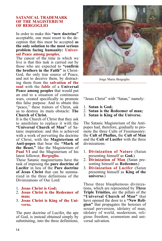#### **SATANICAL TRADEMARK OF THE MAGISTERIUM OF BERGOGLIO**

In order to make this **"new doctrine"** acceptable, one must resort to the deception that this must be accepted **as the only solution to the most serious problem facing humanity: Universal Peace among peoples.**

The cancer of the time in which we live is that this task is carried out by those who are expected to **"confirm the brothers in the Faith"** in Christ-God, the only true source of Peace, and not to deceive them, by distracting them from the **salvation of the soul** with the **fable** of a **Universal Peace among peoples** that would put an end to a situation of continuous wars, created specifically to promote this false purpose. And to obtain this "peace," these traitors of Christ, ask us to destroy its main obstacle: **The Church of Christ.**

It is the Church of Christ that they ask to annihilate to replace it with the **"Universal Church of Man"** of Sa- tanic inspiration: and this is achieved with a work of perverting the doctrine of Christ, with the **Magisterium of Anti-popes** that bear the **"Mark of the Beast,"** like the Magisterium of **Paul VI** and the Magisterium of his latest follower, **Bergoglio.** These Satanic magisteriums have the

task of imposing the **pure doctrine of Lucifer** in lieu of the **Pure doctrine of Jesus Christ** that can be summarized in the three definitions of the Divinizations of Our Lord:

- 1. **Jesus Christ is God;**
- 2. **Jesus Christ is the Redeemer of man;**
- 3. **Jesus Christ is King of the Universe.**

The pure doctrine of Lucifer, the ape of God, is instead obtained simply by substituting, into the three definitions,



Jorge Maria Bergoglio.

"Jesus Christ" with "Satan," namely:

- 1. **Satan is God;**
- 2. **Satan is the Redeemer of man;**
- 3. **Satan is King of the Universe.**

The Satanic Magisterium of the Antipopes had, therefore, gradually to promote the three Cults of Freemasonry: the **Cult of Phallus,** the **Cult of Man** and the **Cult of Lucifer** with the three divinizations:

- 1. **Divinization of Nature** (Satan presenting himself as **God.**)
- 2. **Divinization of Man** (Satan pre- senting himself as **Redeemer.**)
- 3. **Divinization of Lucifer** (Satan presenting himself as **King of the universe.**)

These three blasphemous divinizations, which are represented by **Three Triple Trinities,** are the pillars of the **"Universal Church of Man"** that have opened the door to a **"New Religion"** that propagates the heresies of sexual perversion, idolatry of man, idolatry of world, modernism, religious freedom, ecumenism and universal salvation.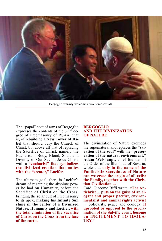

Bergoglio warmly welcomes two homosexuals.

The "papal" coat of arms of Bergoglio expresses the contents of the 32<sup>nd</sup> degree of Freemasonry of RSAA, that is, of rebuilding <sup>a</sup> **New Tower of Ba- bel** that should bury the Church of Christ, but above all that of replacing the Sacrifice of Christ, namely the Eucharist – Body, Blood, Soul, and with a **"eucharist"** that **symbolizes the divinized creation that unites with the "creator," Lucifer.**

The ultimate goal, then, is Lucifer's dream of regaining the absolute power he had on Humanity, before the Sacrifice of Christ on the Cross, bringing the solar cult of Freemasonry to its apex, **making his Infinite Sun shine in the center of a Divinized Nature, Humanity and Lucifer, with the total elimination of the Sacrifice of Christ on the Cross from the face of the earth.**

#### **BERGOGLIO AND THE DIVINIZATION OF NATURE**

The divinization of Nature excludes the supernatural and replaces the **"salvation of the soul"** with the **"preservation of the natural environment." Adam Weishaupt,** chief founder of the Order of the Illuminati of Bavaria, wrote that **only in the name of the Pantheistic sacredness of Nature can we erase the origin of all evils: the Family, together with the Christian Civilization ...**

Card. Giacomo Biffi wrote: **«The Antichrist ... puts on the guise of an elegant and proper pacifist, environmentalist and animal rights activist** ... Solidarity, peace and ecology, **if uprooted or opposed to the proclamation of the Salvific event, become an INCITEMENT TO IDOLA-TRY."**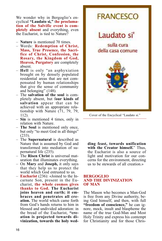We wonder why in Bergoglio's encyclical **"Laudato si,"** t**he proclamation of the Salvific event is completely absent** and everything, even the Eucharist, is tied to Nature?

- **Nature** is mentioned 70 times.
- Words: **Redemption of Christ, Mass, True Presence, the Sacrifice of Christ, Confession, the Rosary, the Kingdom of God, Heaven, Purgatory** are completely absent.
- **Hell** is only "an asphyxiation brought on by densely populated residential areas that are not compensated by human relationships that give the sense of community and belonging" (148).
- The **salvation of the soul** is completely absent, but f**our kinds of salvation** appear that can be achieved with an appropriate relationship with Nature  $(71, 79, 79,$ 112).
- **Sin** is mentioned 4 times, only in relation with Nature.
- **The Soul** is mentioned only once, but only "to meet God in all things" (233).
- The **Supernatural** is described as Nature that is assumed by God and transformed into mediation of supernatural life (235).
- The **Risen Christ** is universal maturation that illuminates everything.
- On **Mary** and **Joseph,** it only says that they help us to protect the world which God entrusted to us.
- **Eucharist** (236): «Joined to the In- carnate Son, present in the Eu- charist, **the whole cosmos gives thanks to God. The Eucharist braces and penetrates all cre- ation.** The world which came forth from God's hands returns to him in blessed and undivided adoration: in the bread of the Eucharist, **"creation is projected towards divinization, towards the holy wed-**



Cover of the Encyclical "Laudato si."

**ding feast, towards unification with the Creator himself.**" Thus, the Eucharist is also a source of light and motivation for our concerns for the environment, directing us to be stewards of all creation.»

#### **BERGOGLIO AND THE DIVINIZATION OF MAN**

The Mason who becomes a Man-God<br>is free from any Divine authority, being God himself, and then, with full **"freedom of conscience,"** he can ig-<br>nore, mock, insult and blaspheme the name of the true God-Man and Most Holy Trinity and express his contempt for Christianity and for those Chris-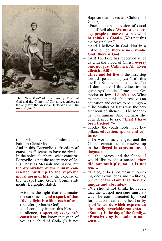

The **"New Man"** of Freemasonry: Freed of God and the Church of Christ, recognizes, as the only law, the Masonic Declaration of **"Human Rights."**

tians who have not abandoned the Faith in Christ-God.

And in this, Bergoglio's **"freedom of conscience"** seems to have no rivals! In the spiritual sphere, what concerns Bergoglio is not the acceptance of Jesus Christ as Messiah and Savior, but **the divinization of the human conscience built up to the supreme moral norm of life,** at the expense of the Gospel and God's Command- ments. Bergoglio stated:

- «God is the light that illuminates the darkness ... **and a spark of that Divine light is within each of us.»**
- (therefore, Man is God)<br> $-$  «... I cordially impart this blessing, in silence, **respecting everyone's conscience,** but know that each of you is a child of God» (Is it not

Baptism that makes us "Children of God"?)

- «Each of us has a vision of Good and of Evil also. **We must encourage people to move towards what he thinks is Good.»** (Was not this the original sin?)
- «And I believe in God. Not in a Catholic God; **there is no Catholic God; there is God.»**
- «All! The Lord has redeemed all of us with the blood of Christ: **everyone, not just Catholics. All! Even atheists. All!!»**
- **«Live and let live** is the first step towards peace and joy.» (Isn't this the first Satanic "commandment"?)
- «I don't care if this education is given by Catholics, Protestants, Orthodox or Jews. **I don't care.** What matters is that this child receives an education and ceases to be hungry.»
- «The Mother of Jesus was the perfect icon of silence ... The Madonna was human! And perhaps she even desired to say: **"Lies! I have been tricked!"»**
- «Today, the youth needs three key pillars: **education, sports and culture.»**
- «The world has changed, and the Church cannot lock themselves up in the **alleged interpretations of dogma.»**
- «... the loaves and the fishes, I would like to add a nuance: **they did not multiply, no, it is not true.»**
- «Dialogue does not mean renouncing one's own ideas and traditions, but rather **the claim that they are unique and absolute.»**
- «We should not think, however, that the Gospel message must al- ways be communicated by fixed formulations learned by heart or **by specific words which express an absolutely invariable content.»**
- 
- **«Sunday is the day of the family.» «Proselytizing is <sup>a</sup> solemn non- sense.»**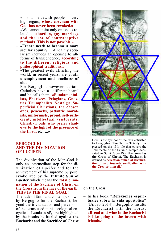- «I hold the Jewish people in very high regard, **whose covenant with God has never been revoked.»**
- «We cannot insist only on issues related to **abortion, gay marriage and the use of contraceptive methods. This is not possible.»**
- **«France needs to become a more secular country** ... A healthy secularism includes an opening to allforms of transcendence, **according to the different religious and philosophical traditions.»**
- $-$  «The greatest evils afflicting the world, in recent years, are **youth unemployment and loneliness of old.»**
- For Bergoglio, however, certain Catholics have a "different heart" and he calls them: **«Fundamentalists, Pharisees, Pelagians, Gnostics, Triumphalists, Nostalgic, Superficial Christians, the chosen ones, peacocks, pedantic moralists, uniformists, proud, self-sufficient, intellectual aristocrats, Christian bats who prefer shadows to the light of the presence of the Lord,** etc. ...»

#### **BERGOGLIO AND THE DIVINIZATION OF LUCIFER**

The divinization of the Man-God is only an intermediate step for the divinization of Lucifer and for the achievement of his supreme purpose, symbolized by the **Infinite Sun of Lucifer** which means the **total elimi- nation of the Sacrifice of Christ on the Cross from the face of the earth. THIS IS THE FINAL GOAL!**

The lack of faith and contempt shown by Bergoglio for the Eucharist, beyond the trivialization and perversion of the terms used in his ecological en- cyclical, **Laudato si',** are highlighted by the insults **he hurled against the Eucharist** and the **Sacrifice of Christ**



Here is the symbol of the task entrusted to Bergoglio: **The Triple Trinity,** impressed on the 13th tile that covers the Tabernacle of the Satanic Temple dedicated to Saint Padre Pio, **that smashes the Cross of Christ.** The Eucharist is defined as **"creation aimed at diviniza- tion ... and towards unification with the Creator himself."**

#### **on the Cross:**

– In his book "**Refexiones espiri- tuales sobra la vida apostolica"** (Bilbao 2014), Bergoglio insults the Eucharist with the words: **«Bread and wine in the Eucharist is like going to the tavern with friends.»**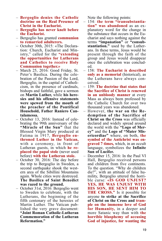- **Bergoglio denies the Catholic doctrine on the Real Presence of Christ in the Eucharist.**
- **Bergoglio has never knelt before the Eucharist.**
- Bergoglio has granted **communion to remarried adulterers.**
- October 30th, 2015: «The Declaration: Church, Eucharist and Ministry," called for the **"extending the opportunities for Lutherans and Catholics to receive Holy Communion together.»**
- March 25, 2016: Good Friday, St. Peter's Basilica. During the cele-<br>bration of the Passion of the Lord, Bergoglio, in the capital of Catholi-<br>cism, in the presence of cardinals, bishops and faithful, gave a sermon on **Martin Luther,** while **his here- sies and his offensive statements were spewed from the mouth of the preacher of the Pontifical Household, Father Raniero Cantalamessa.**
- October 13, 2016: Instead of celebrating the 99th anniversary of the **"Miracle of the Sun"** that the Blessed Virgin Mary produced at Fatima in 1917, **Bergoglio enthroned Luther in the Vatican,** with a ceremony, in front of Lutheran guests, in which **he replaced the papal stole** (never used before) **with the Lutheran stole.**
- October 30, 2016: The day before the trip to Bergoglio in Sweden, a second earthquake shook the western area of the Sibillini Mountains again. Whole cities were destroyed. **The Basilica of Saint Benedict was razed to the ground.**
- October 31st, 2016: Bergoglio went to Sweden to celebrate, with the Lutherans, the beginning of the fifth centenary of the heresies of<br>Martin Luther. The Vatican published the very grave document:<br>"**Joint Roman Catholic-Lutheran Commemoration of the Lutheran Reformation."**

Note the following points:

- 154: **the term "transubstantiation" was abandoned** as an explanatory word for the change in the substance that occurs in the Eucharist and says nothing against the terms **"impanation"** or **"consubstantiation."** used by the Lutherans. In these terms, Jesus would be present through the faith of the group and Jesus would disappear once the celebration was concluded.
- 158: **The Eucharist is described only as a memorial** (historical), as the Lutherans have always conceived.
- 159: **The doctrine that states that the Sacrifice of Christ is renewed in an unbloody manner** at every Mass as always been professed by the Catholic Church for over two thousand years was abandoned.
- However, **the war on the Redemption of the Sacrifice of Christ on the Cross** was officially declared and widely spread around the world with the **"Logo of Mercy"** and the **Logo of "Mater Misericordiae"** where, on both, **the symbol of the Antichrist was engraved 7 times,** which, in an occult language, symbolizes the **Infinite Sun of Lucifer.**
- December 15, 2016: In the Paul VI Hall, Bergoglio received persons and children from five continents. To the question. "Why do children die?", with an attitude of false humility, Bergoglio uttered the horri- ble curse: **«IS GOD UNJUST? YES, HE WAS UNJUST WITH HIS SON, HE SENT HIM TO THE CROSS."** Is it possible for anyone **to strike at the Sacrifice of Christ on the Cross and trample on the immense love of God for Humanity,** in a deeper and more Satanic way than with **the horrible blasphemy of accusing God of injustice, for wanting the**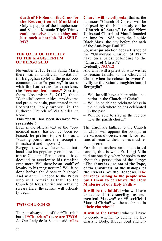**death of His Son on the Cross for the Redemption of Mankind?** Only a puppet of the blasphemous and Satanic Masonic Triple Trinity **could conceive such a thing and hurl such a horrible BLASPHE-MY!**

#### **THE OATH OF FIDELITY TO THE MAGISTERIUM OF BERGOGLIO**

November 2017: From Santa Marta there was an unofficial "invitation" (in Bergoglian style) to the grassroots communities **to "organize," to start, with the Lutherans, to experience the "ecumenical mass."** Starting from November 5, 2017, these "Catholic" communities, pro-divorce and pro-euthanasia, participated in the Protestant "holy supper" in the Lutheran Church of Via Sicilia, in

# Rome. **This "path" has been declared "ir- reversible"!**

menical mass" has not yet been re-<br>leased, he prefers to use this as a "starting point" and then accept it,<br>formalize it and impose it!

Bergoglio, who we have seen first- hand lose his popularity on his recent trip to Chile and Peru, seems to have decided to accelerate his timeline even more: Will there be an "oath" of loyalty to his magisterium? Will it be done before the diocesan bishops? And what will happen to the Priests who will remain faithful to the Church of Jesus Christ and refuse to swear? Here, the schism will officially begin.

#### **TWO CHURCHES**

There is always talk of the **"Church,"** but **of "Churches" there are TWO!** As Our Lady de la Salette said: **«The**

**Church will be eclipsed»;** that is, the luminous "Church of Christ" will be eclipsed by the black body of the **"Church of Satan,"** i.e. the **"New Universal Church of Man,"** founded on June 29, 1963, with the Double Black Mass, the day before the oath of the Anti-Pope Paul VI.

So, what jurisdiction does a Bishop of the **"Universal Church of Man"** have on a priest belonging to the **"Church of Christ"?**

Evidently, **NONE!**

And what will a priest do who wishes to remain faithful to the Church of Christ, **when he refuses to swear fidelity to the Satanic magisterium of Bergoglio?**

- Will he still have a hierarchical superior in the Church of Christ?
- Will he be able to celebrate Mass in the church where he has celebrated in the past?
- Will he able to stay in the rectory near the parish church?

The Cardinals faithful to the Church of Christ will appoint the bishops in the various dioceses, even if, for reasons of security, their names must remain secret.

For the churches and associated canons, this is what Fr. Luigi Villa told me one day, when he spoke to me about this persecution of the clergy: **«The churches are not of the Pope, of the Cardinals, of the Bishops, of the Priests, of the Deacons. The churches belong to the people who built them to celebrate the Holy Mysteries of our Holy Faith!»**

**It will be the faithful** who will have to decide if **"the sacrilegious ecumenical Masses"** or **"Sacrificial Mass of Christ"** will be celebrated in **"their churches"!**

**It will be the faithful** who will have to decide whether to defend the Eucharistic Body, Blood, Soul and Di-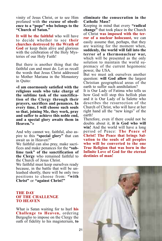vinity of Jesus Christ, or to see Him profaned with **the excuse of obedience to a "pope" who belongs to the "Church of Satan."**

**It will be the faithful** who will have to decide whether to see **their churches destroyed by the Wrath of God** or keep them alive and glorious with the celebration of the Holy Mysteries of our Holy Faith!

But there is another thing that the faithful can and must do. Let us recall the words that Jesus Christ addressed to Mother Mariana in the Monastery in Quito:

**«I am enormously satisfied with the religious souls who take charge of the sublime task of the sanctification of the Clergy through their prayers, sacrifices and penances. In every time, I will choose such souls so that, joining Me, they work, pray and suffer to achieve this noble end, and <sup>a</sup> special glory awaits them in Heaven."»**

And why cannot we, faithful, also as- pire to this **"special glory"** that can

await us in Heaven?" We faithful can also pray, make sacri- fices and make penances for the **"sub- lime task" of the sanctification of the Clergy** who remained faithful to

We faithful must keep ourselves ready because, in the battle that will be un- leashed shortly, there will be only two positions to choose from: **"with Christ"** or **"against Christ!"**

#### **THE DAY OF THE CHALLENGE TO HEAVEN**

What is Satan waiting for to hurl **his Challenge to Heaven,** ordering Bergoglio to impose on the Clergy the oath of fidelity to his magisterium, **to**

#### **eliminate the consecration in the Catholic Mass?**

Keeping in mind that every **"radical change"** that took place in the Church of Christ **was imposed with the terror of a nuclear holocaust,** we can easily assume that, perhaps, that they are waiting for the moment when, **suddenly, the world will fall into the terror of a thermonuclear war,** which will be presented as the only solution to maintain the world supremacy of the current hegemonic power, the USA.

But we must ask ourselves another question: **will God allow** the largest Christian geographical areas of the earth to suffer such annihilation?

It is Our Lady of Fatima who tells us how God will stop this hellish plan and it is Our Lady of la Salette who describes the resurrection of the Church of Christ, who will have at her right hand all the "new kings" of the earth!

Therefore, even if there could not be doubts about it, **it is God who will win!** And the world will have a long period of Peace: **The Peace of Christ! The Peace that brings Sal- vation to the souls of all peoples who will be converted to the one True Religion that was born in the Infinite Love of God for the eternal destinies of man!**

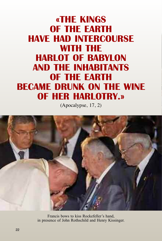### **«THE KINGS OF THE EARTH HAVE HAD INTERCOURSE WITH THE HARLOT OF BABYLON AND THE INHABITANTS OF THE EARTH BECAME DRUNK ON THE WINE OF HER HARLOTRY.»**

(Apocalypse, 17, 2)



Francis bows to kiss Rockefeller's hand, in presence of John Rothschild and Henry Kissinger.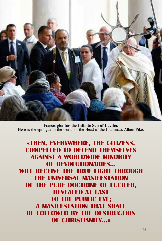

Francis glorifies the **Infinite Sun of Lucifer.** Here is the epilogue in the words of the Head of the Illuminati, Albert Pike:

**«THEN, EVERYWHERE, THE CITIZENS, COMPELLED TO DEFEND THEMSELVES AGAINST A WORLDWIDE MINORITY OF REVOLUTIONARIES... WILL RECEIVE THE TRUE LIGHT THROUGH THE UNIVERSAL MANIFESTATION OF THE PURE DOCTRINE OF LUCIFER, REVEALED AT LAST TO THE PUBLIC EYE; A MANIFESTATION THAT SHALL BE FOLLOWED BY THE DESTRUCTION OF CHRISTIANITY...»**